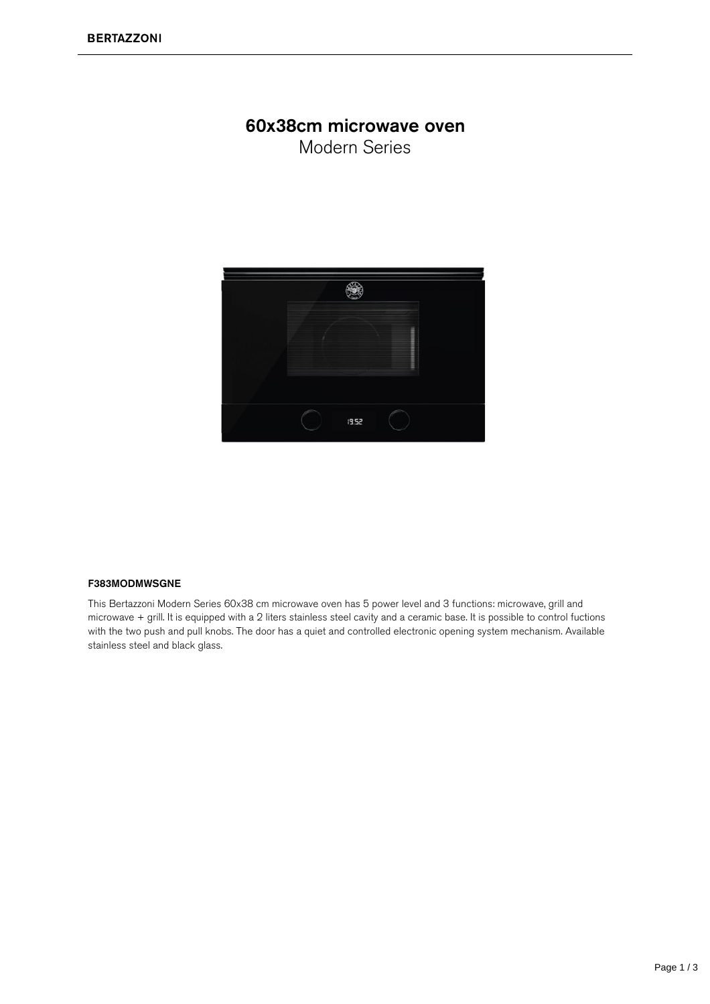## 60x38cm microwave oven

Modern Series



## F383MODMWSGNE

This Bertazzoni Modern Series 60x38 cm microwave oven has 5 power level and 3 functions: microwave, grill and microwave + grill. It is equipped with a 2 liters stainless steel cavity and a ceramic base. It is possible to control fuctions with the two push and pull knobs. The door has a quiet and controlled electronic opening system mechanism. Available stainless steel and black glass.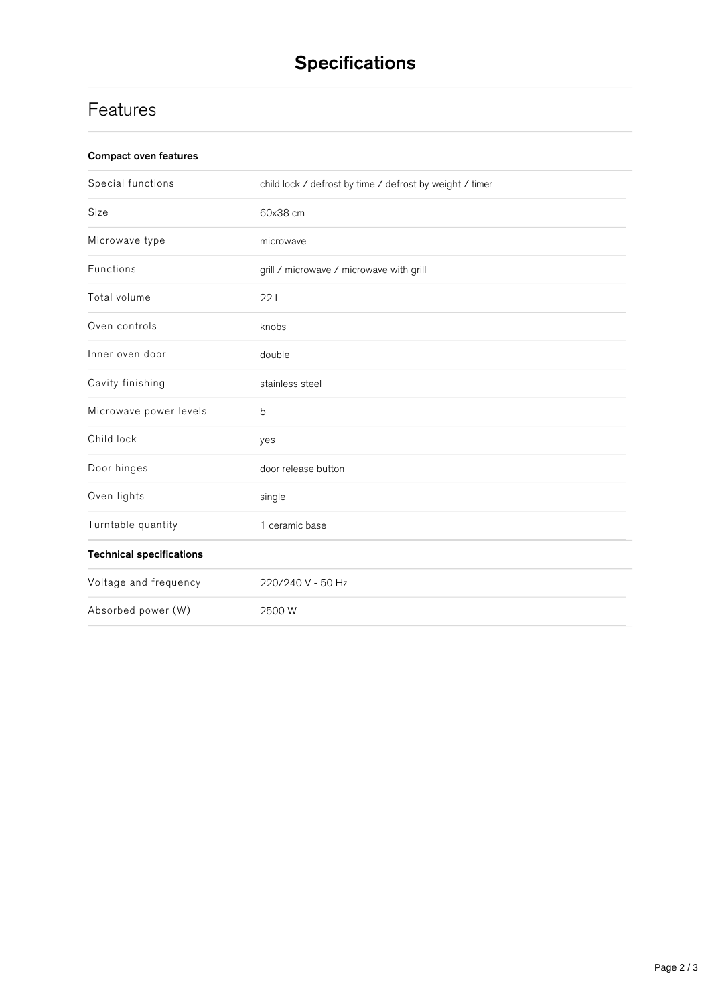## **Features**

| Compact oven features |  |
|-----------------------|--|
|-----------------------|--|

| Special functions               | child lock / defrost by time / defrost by weight / timer |
|---------------------------------|----------------------------------------------------------|
| Size                            | 60x38 cm                                                 |
| Microwave type                  | microwave                                                |
| Functions                       | grill / microwave / microwave with grill                 |
| Total volume                    | 22L                                                      |
| Oven controls                   | knobs                                                    |
| Inner oven door                 | double                                                   |
| Cavity finishing                | stainless steel                                          |
| Microwave power levels          | 5                                                        |
| Child lock                      | yes                                                      |
| Door hinges                     | door release button                                      |
| Oven lights                     | single                                                   |
| Turntable quantity              | 1 ceramic base                                           |
| <b>Technical specifications</b> |                                                          |
| Voltage and frequency           | 220/240 V - 50 Hz                                        |
| Absorbed power (W)              | 2500 W                                                   |